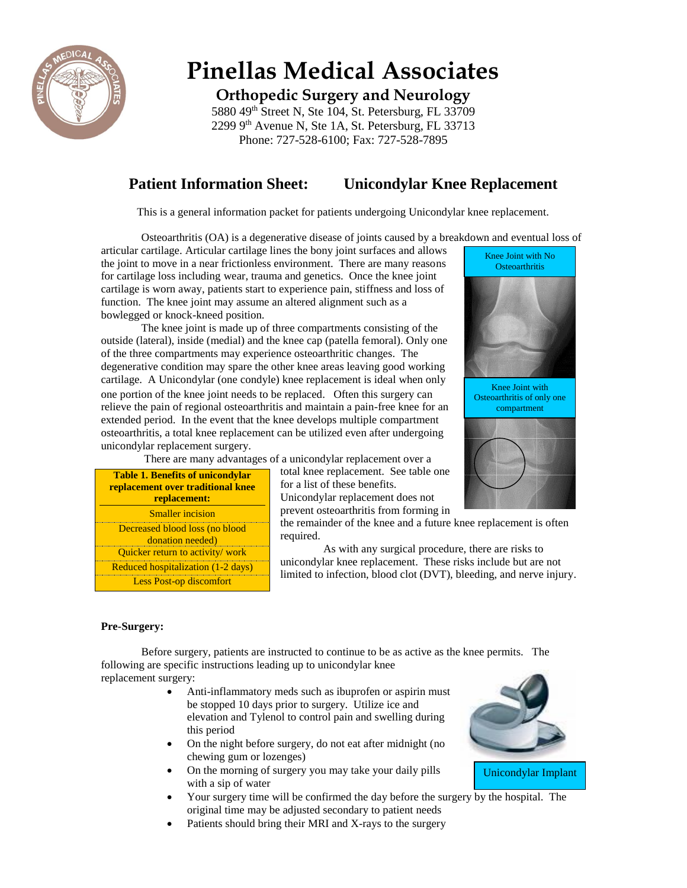

# **Pinellas Medical Associates**

**Orthopedic Surgery and Neurology**

5880 49<sup>th</sup> Street N, Ste 104, St. Petersburg, FL 33709 2299 9th Avenue N, Ste 1A, St. Petersburg, FL 33713 Phone: 727-528-6100; Fax: 727-528-7895

# **Patient Information Sheet: Unicondylar Knee Replacement**

This is a general information packet for patients undergoing Unicondylar knee replacement.

Osteoarthritis (OA) is a degenerative disease of joints caused by a breakdown and eventual loss of

articular cartilage. Articular cartilage lines the bony joint surfaces and allows the joint to move in a near frictionless environment. There are many reasons for cartilage loss including wear, trauma and genetics. Once the knee joint cartilage is worn away, patients start to experience pain, stiffness and loss of function. The knee joint may assume an altered alignment such as a bowlegged or knock-kneed position.

The knee joint is made up of three compartments consisting of the outside (lateral), inside (medial) and the knee cap (patella femoral). Only one of the three compartments may experience osteoarthritic changes. The degenerative condition may spare the other knee areas leaving good working cartilage. A Unicondylar (one condyle) knee replacement is ideal when only one portion of the knee joint needs to be replaced. Often this surgery can relieve the pain of regional osteoarthritis and maintain a pain-free knee for an extended period. In the event that the knee develops multiple compartment osteoarthritis, a total knee replacement can be utilized even after undergoing unicondylar replacement surgery.

There are many advantages of a unicondylar replacement over a

| <b>Table 1. Benefits of unicondylar</b><br>replacement over traditional knee<br>replacement: |
|----------------------------------------------------------------------------------------------|
| <b>Smaller</b> incision                                                                      |
| Decreased blood loss (no blood<br>donation needed)                                           |
| Quicker return to activity/ work                                                             |
| Reduced hospitalization (1-2 days)                                                           |
| <b>Less Post-op discomfort</b>                                                               |

total knee replacement. See table one for a list of these benefits. Unicondylar replacement does not prevent osteoarthritis from forming in

the remainder of the knee and a future knee replacement is often required.

As with any surgical procedure, there are risks to unicondylar knee replacement. These risks include but are not limited to infection, blood clot (DVT), bleeding, and nerve injury.

#### **Pre-Surgery:**

Before surgery, patients are instructed to continue to be as active as the knee permits. The following are specific instructions leading up to unicondylar knee replacement surgery:

- Anti-inflammatory meds such as ibuprofen or aspirin must be stopped 10 days prior to surgery. Utilize ice and elevation and Tylenol to control pain and swelling during this period
- On the night before surgery, do not eat after midnight (no chewing gum or lozenges)
- On the morning of surgery you may take your daily pills with a sip of water
- Your surgery time will be confirmed the day before the surgery by the hospital. The original time may be adjusted secondary to patient needs
- Patients should bring their MRI and X-rays to the surgery



Unicondylar Implant



Knee Joint with No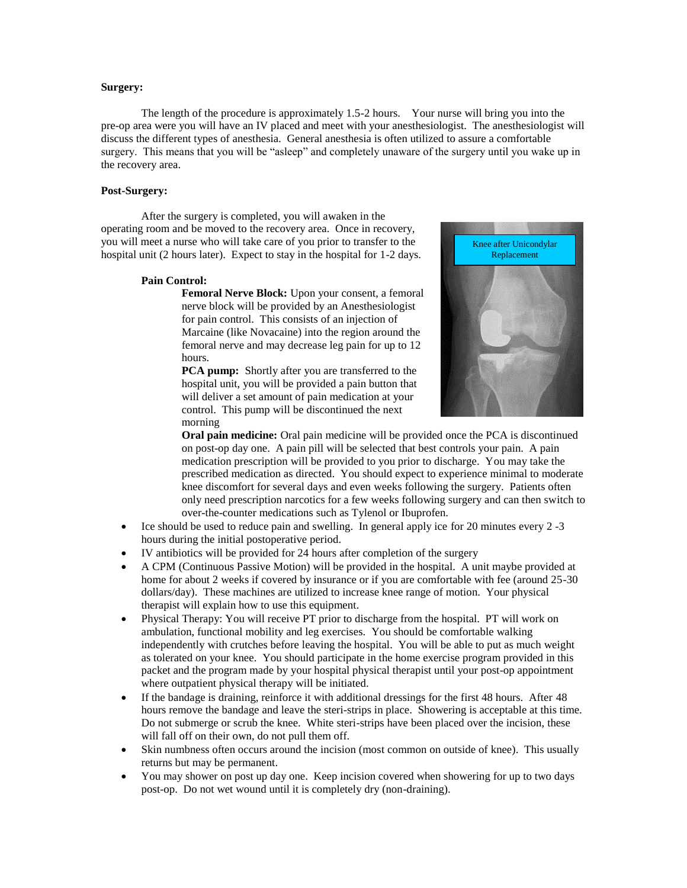#### **Surgery:**

The length of the procedure is approximately 1.5-2 hours. Your nurse will bring you into the pre-op area were you will have an IV placed and meet with your anesthesiologist. The anesthesiologist will discuss the different types of anesthesia. General anesthesia is often utilized to assure a comfortable surgery. This means that you will be "asleep" and completely unaware of the surgery until you wake up in the recovery area.

#### **Post-Surgery:**

After the surgery is completed, you will awaken in the operating room and be moved to the recovery area. Once in recovery, you will meet a nurse who will take care of you prior to transfer to the hospital unit (2 hours later). Expect to stay in the hospital for 1-2 days.

#### **Pain Control:**

**Femoral Nerve Block:** Upon your consent, a femoral nerve block will be provided by an Anesthesiologist for pain control. This consists of an injection of Marcaine (like Novacaine) into the region around the femoral nerve and may decrease leg pain for up to 12 hours.

**PCA pump:** Shortly after you are transferred to the hospital unit, you will be provided a pain button that will deliver a set amount of pain medication at your control. This pump will be discontinued the next morning



**Oral pain medicine:** Oral pain medicine will be provided once the PCA is discontinued on post-op day one. A pain pill will be selected that best controls your pain. A pain medication prescription will be provided to you prior to discharge. You may take the prescribed medication as directed. You should expect to experience minimal to moderate knee discomfort for several days and even weeks following the surgery. Patients often only need prescription narcotics for a few weeks following surgery and can then switch to over-the-counter medications such as Tylenol or Ibuprofen.

- $\bullet$  Ice should be used to reduce pain and swelling. In general apply ice for 20 minutes every 2 -3 hours during the initial postoperative period.
- IV antibiotics will be provided for 24 hours after completion of the surgery
- A CPM (Continuous Passive Motion) will be provided in the hospital. A unit maybe provided at home for about 2 weeks if covered by insurance or if you are comfortable with fee (around 25-30) dollars/day). These machines are utilized to increase knee range of motion. Your physical therapist will explain how to use this equipment.
- Physical Therapy: You will receive PT prior to discharge from the hospital. PT will work on ambulation, functional mobility and leg exercises. You should be comfortable walking independently with crutches before leaving the hospital. You will be able to put as much weight as tolerated on your knee. You should participate in the home exercise program provided in this packet and the program made by your hospital physical therapist until your post-op appointment where outpatient physical therapy will be initiated.
- If the bandage is draining, reinforce it with additional dressings for the first 48 hours. After 48 hours remove the bandage and leave the steri-strips in place. Showering is acceptable at this time. Do not submerge or scrub the knee. White steri-strips have been placed over the incision, these will fall off on their own, do not pull them off.
- Skin numbness often occurs around the incision (most common on outside of knee). This usually returns but may be permanent.
- You may shower on post up day one. Keep incision covered when showering for up to two days post-op. Do not wet wound until it is completely dry (non-draining).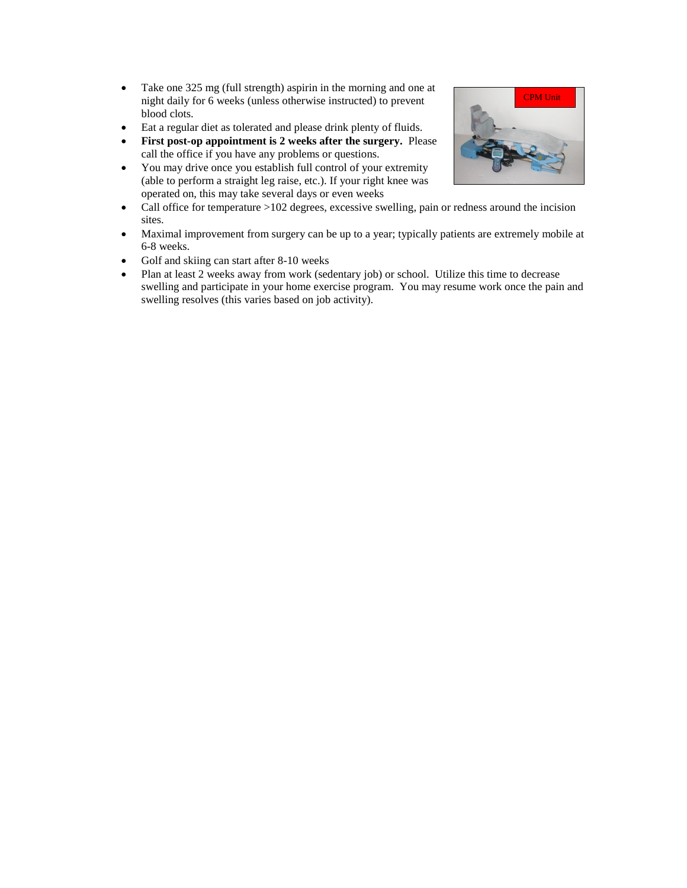- Take one 325 mg (full strength) aspirin in the morning and one at night daily for 6 weeks (unless otherwise instructed) to prevent blood clots.
- Eat a regular diet as tolerated and please drink plenty of fluids.
- **First post-op appointment is 2 weeks after the surgery.** Please call the office if you have any problems or questions.
- You may drive once you establish full control of your extremity (able to perform a straight leg raise, etc.). If your right knee was operated on, this may take several days or even weeks
- Call office for temperature >102 degrees, excessive swelling, pain or redness around the incision sites.
- Maximal improvement from surgery can be up to a year; typically patients are extremely mobile at 6-8 weeks.
- Golf and skiing can start after 8-10 weeks
- Plan at least 2 weeks away from work (sedentary job) or school. Utilize this time to decrease swelling and participate in your home exercise program. You may resume work once the pain and swelling resolves (this varies based on job activity).

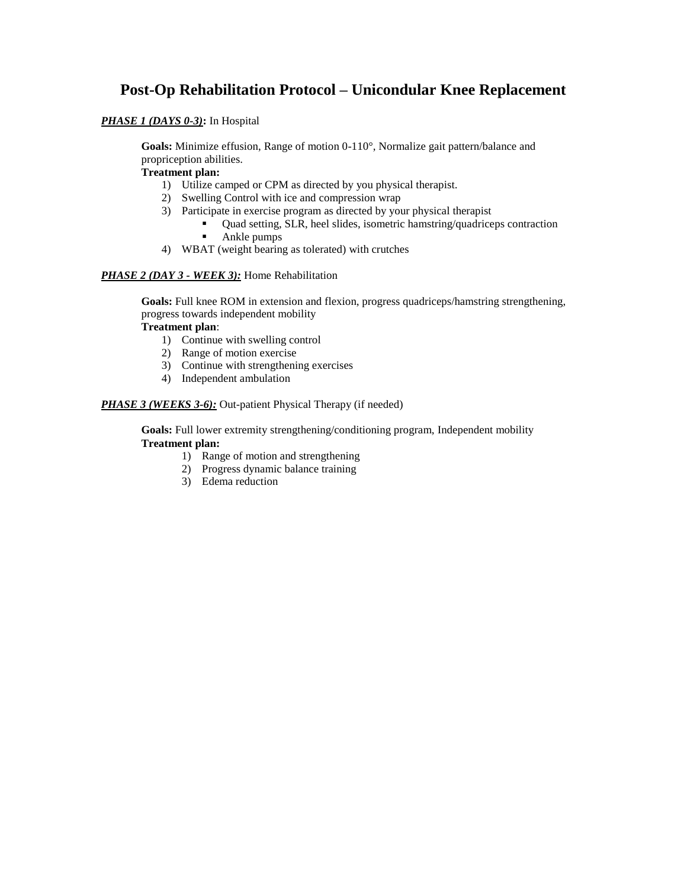## **Post-Op Rehabilitation Protocol – Unicondular Knee Replacement**

#### *PHASE 1 (DAYS 0-3)***:** In Hospital

**Goals:** Minimize effusion, Range of motion 0-110°, Normalize gait pattern/balance and propriception abilities.

#### **Treatment plan:**

- 1) Utilize camped or CPM as directed by you physical therapist.
- 2) Swelling Control with ice and compression wrap
- 3) Participate in exercise program as directed by your physical therapist
	- Quad setting, SLR, heel slides, isometric hamstring/quadriceps contraction
	- Ankle pumps
- 4) WBAT (weight bearing as tolerated) with crutches

#### *PHASE 2 (DAY 3 - WEEK 3):* Home Rehabilitation

**Goals:** Full knee ROM in extension and flexion, progress quadriceps/hamstring strengthening, progress towards independent mobility

#### **Treatment plan**:

- 1) Continue with swelling control
- 2) Range of motion exercise
- 3) Continue with strengthening exercises
- 4) Independent ambulation

#### **PHASE 3 (WEEKS 3-6):** Out-patient Physical Therapy (if needed)

**Goals:** Full lower extremity strengthening/conditioning program, Independent mobility **Treatment plan:**

- 1) Range of motion and strengthening
- 2) Progress dynamic balance training
- 3) Edema reduction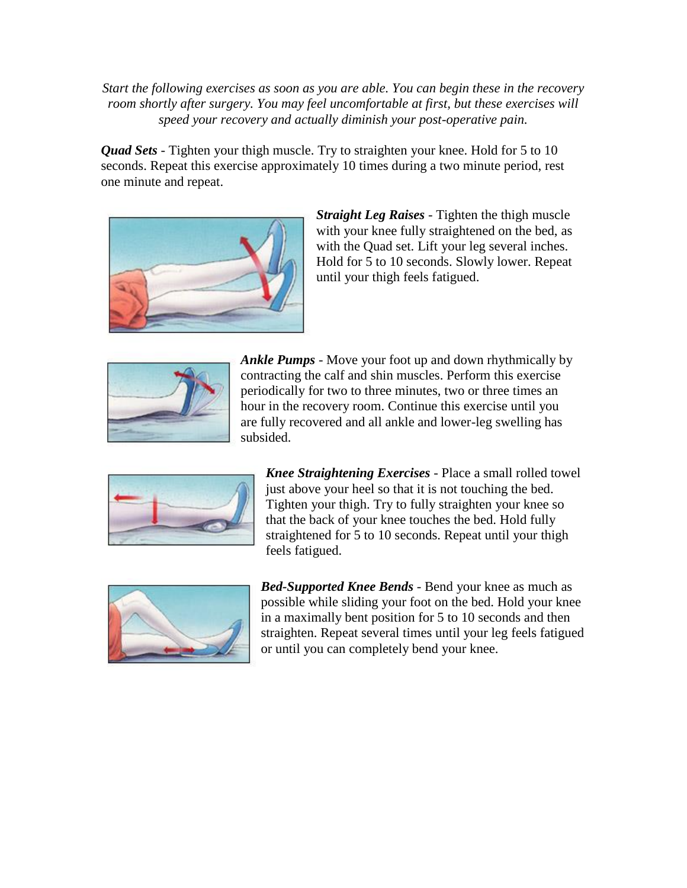*Start the following exercises as soon as you are able. You can begin these in the recovery room shortly after surgery. You may feel uncomfortable at first, but these exercises will speed your recovery and actually diminish your post-operative pain.*

*Quad Sets* - Tighten your thigh muscle. Try to straighten your knee. Hold for 5 to 10 seconds. Repeat this exercise approximately 10 times during a two minute period, rest one minute and repeat.



*Straight Leg Raises* - Tighten the thigh muscle with your knee fully straightened on the bed, as with the Quad set. Lift your leg several inches. Hold for 5 to 10 seconds. Slowly lower. Repeat until your thigh feels fatigued.



*Ankle Pumps* - Move your foot up and down rhythmically by contracting the calf and shin muscles. Perform this exercise periodically for two to three minutes, two or three times an hour in the recovery room. Continue this exercise until you are fully recovered and all ankle and lower-leg swelling has subsided.



*Knee Straightening Exercises* - Place a small rolled towel just above your heel so that it is not touching the bed. Tighten your thigh. Try to fully straighten your knee so that the back of your knee touches the bed. Hold fully straightened for 5 to 10 seconds. Repeat until your thigh feels fatigued.



*Bed-Supported Knee Bends* - Bend your knee as much as possible while sliding your foot on the bed. Hold your knee in a maximally bent position for 5 to 10 seconds and then straighten. Repeat several times until your leg feels fatigued or until you can completely bend your knee.